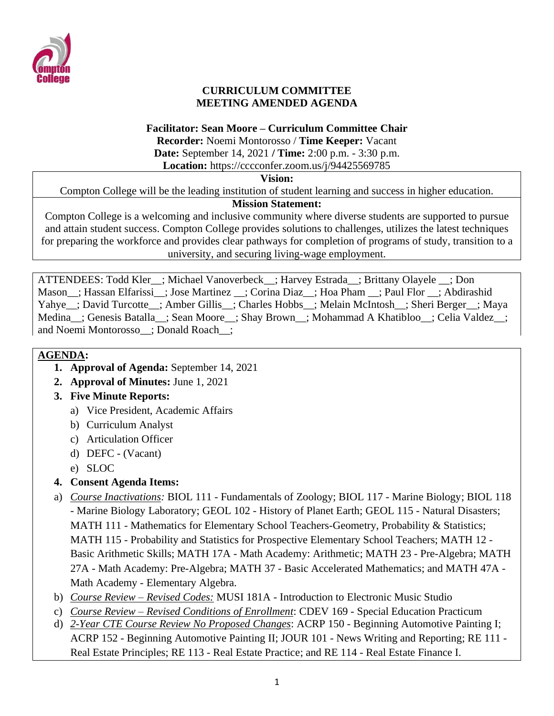

### **CURRICULUM COMMITTEE MEETING AMENDED AGENDA**

### **Facilitator: Sean Moore – Curriculum Committee Chair**

**Recorder:** Noemi Montorosso / **Time Keeper:** Vacant **Date:** September 14, 2021 **/ Time:** 2:00 p.m. - 3:30 p.m.

**Location:** https://cccconfer.zoom.us/j/94425569785

### **Vision:**

Compton College will be the leading institution of student learning and success in higher education.

## **Mission Statement:**

Compton College is a welcoming and inclusive community where diverse students are supported to pursue and attain student success. Compton College provides solutions to challenges, utilizes the latest techniques for preparing the workforce and provides clear pathways for completion of programs of study, transition to a university, and securing living-wage employment.

ATTENDEES: Todd Kler ; Michael Vanoverbeck ; Harvey Estrada ; Brittany Olayele ; Don Mason\_\_; Hassan Elfarissi\_\_; Jose Martinez \_\_; Corina Diaz\_\_; Hoa Pham \_\_; Paul Flor \_\_; Abdirashid Yahye : David Turcotte : Amber Gillis : Charles Hobbs : Melain McIntosh : Sheri Berger : Maya Medina\_\_; Genesis Batalla\_\_; Sean Moore\_\_; Shay Brown\_\_; Mohammad A Khatibloo\_\_; Celia Valdez\_\_; and Noemi Montorosso\_\_; Donald Roach\_\_;

## **AGENDA:**

- **1. Approval of Agenda:** September 14, 2021
- **2. Approval of Minutes:** June 1, 2021
- **3. Five Minute Reports:** 
	- a) Vice President, Academic Affairs
	- b) Curriculum Analyst
	- c) Articulation Officer
	- d) DEFC (Vacant)
	- e) SLOC

# **4. Consent Agenda Items:**

- a) *Course Inactivations:* BIOL 111 Fundamentals of Zoology; BIOL 117 Marine Biology; BIOL 118 - Marine Biology Laboratory; GEOL 102 - History of Planet Earth; GEOL 115 - Natural Disasters; MATH 111 - Mathematics for Elementary School Teachers-Geometry, Probability & Statistics; MATH 115 - Probability and Statistics for Prospective Elementary School Teachers; MATH 12 - Basic Arithmetic Skills; MATH 17A - Math Academy: Arithmetic; MATH 23 - Pre-Algebra; MATH 27A - Math Academy: Pre-Algebra; MATH 37 - Basic Accelerated Mathematics; and MATH 47A - Math Academy - Elementary Algebra.
- b) *Course Review – Revised Codes:* MUSI 181A Introduction to Electronic Music Studio
- c) *Course Review – Revised Conditions of Enrollment*: CDEV 169 Special Education Practicum
- d) *2-Year CTE Course Review No Proposed Changes*: ACRP 150 Beginning Automotive Painting I; ACRP 152 - Beginning Automotive Painting II; JOUR 101 - News Writing and Reporting; RE 111 - Real Estate Principles; RE 113 - Real Estate Practice; and RE 114 - Real Estate Finance I.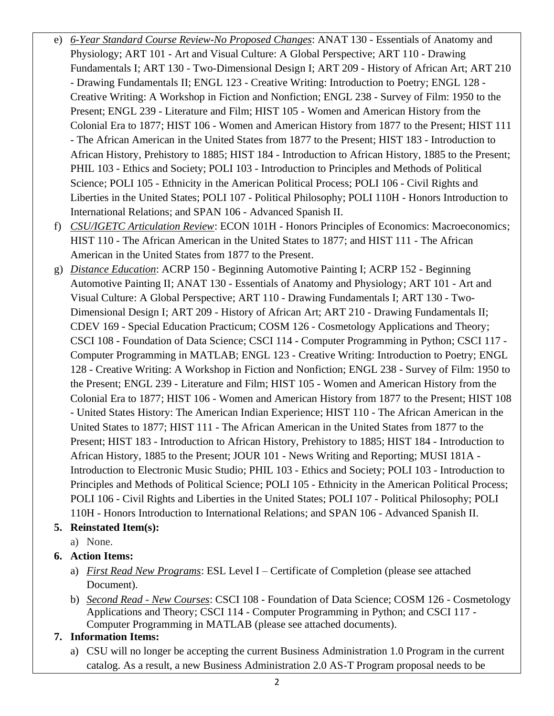- e) *6-Year Standard Course Review-No Proposed Changes*: ANAT 130 Essentials of Anatomy and Physiology; ART 101 - Art and Visual Culture: A Global Perspective; ART 110 - Drawing Fundamentals I; ART 130 - Two-Dimensional Design I; ART 209 - History of African Art; ART 210 - Drawing Fundamentals II; ENGL 123 - Creative Writing: Introduction to Poetry; ENGL 128 - Creative Writing: A Workshop in Fiction and Nonfiction; ENGL 238 - Survey of Film: 1950 to the Present; ENGL 239 - Literature and Film; HIST 105 - Women and American History from the Colonial Era to 1877; HIST 106 - Women and American History from 1877 to the Present; HIST 111 - The African American in the United States from 1877 to the Present; HIST 183 - Introduction to African History, Prehistory to 1885; HIST 184 - Introduction to African History, 1885 to the Present; PHIL 103 - Ethics and Society; POLI 103 - Introduction to Principles and Methods of Political Science; POLI 105 - Ethnicity in the American Political Process; POLI 106 - Civil Rights and Liberties in the United States; POLI 107 - Political Philosophy; POLI 110H - Honors Introduction to International Relations; and SPAN 106 - Advanced Spanish II.
- f) *CSU/IGETC Articulation Review*: ECON 101H Honors Principles of Economics: Macroeconomics; HIST 110 - The African American in the United States to 1877; and HIST 111 - The African American in the United States from 1877 to the Present.
- g) *Distance Education*: ACRP 150 Beginning Automotive Painting I; ACRP 152 Beginning Automotive Painting II; ANAT 130 - Essentials of Anatomy and Physiology; ART 101 - Art and Visual Culture: A Global Perspective; ART 110 - Drawing Fundamentals I; ART 130 - Two-Dimensional Design I; ART 209 - History of African Art; ART 210 - Drawing Fundamentals II; CDEV 169 - Special Education Practicum; COSM 126 - Cosmetology Applications and Theory; CSCI 108 - Foundation of Data Science; CSCI 114 - Computer Programming in Python; CSCI 117 - Computer Programming in MATLAB; ENGL 123 - Creative Writing: Introduction to Poetry; ENGL 128 - Creative Writing: A Workshop in Fiction and Nonfiction; ENGL 238 - Survey of Film: 1950 to the Present; ENGL 239 - Literature and Film; HIST 105 - Women and American History from the Colonial Era to 1877; HIST 106 - Women and American History from 1877 to the Present; HIST 108 - United States History: The American Indian Experience; HIST 110 - The African American in the United States to 1877; HIST 111 - The African American in the United States from 1877 to the Present; HIST 183 - Introduction to African History, Prehistory to 1885; HIST 184 - Introduction to African History, 1885 to the Present; JOUR 101 - News Writing and Reporting; MUSI 181A - Introduction to Electronic Music Studio; PHIL 103 - Ethics and Society; POLI 103 - Introduction to Principles and Methods of Political Science; POLI 105 - Ethnicity in the American Political Process; POLI 106 - Civil Rights and Liberties in the United States; POLI 107 - Political Philosophy; POLI 110H - Honors Introduction to International Relations; and SPAN 106 - Advanced Spanish II.

### **5. Reinstated Item(s):**

a) None.

### **6. Action Items:**

- a) *First Read New Programs*: ESL Level I Certificate of Completion (please see attached Document).
- b) *Second Read - New Courses*: CSCI 108 Foundation of Data Science; COSM 126 Cosmetology Applications and Theory; CSCI 114 - Computer Programming in Python; and CSCI 117 - Computer Programming in MATLAB (please see attached documents).

## **7. Information Items:**

a) CSU will no longer be accepting the current Business Administration 1.0 Program in the current catalog. As a result, a new Business Administration 2.0 AS-T Program proposal needs to be